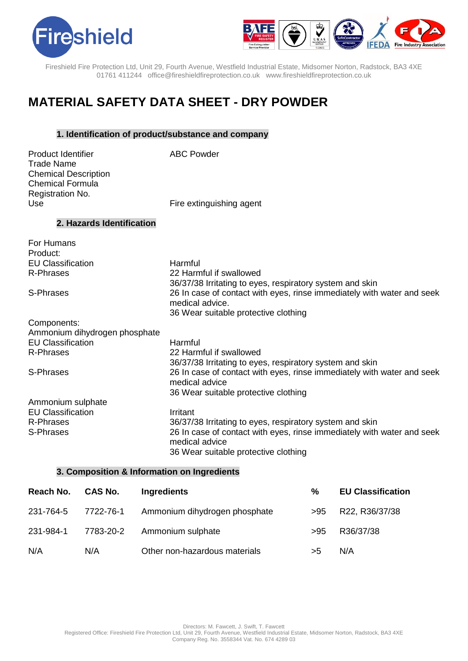



# **MATERIAL SAFETY DATA SHEET - DRY POWDER**

## **1. Identification of product/substance and company**

| <b>Product Identifier</b><br>Trade Name<br><b>Chemical Description</b> | <b>ABC Powder</b>        |
|------------------------------------------------------------------------|--------------------------|
| Chemical Formula                                                       |                          |
| Registration No.                                                       |                          |
| Use                                                                    | Fire extinguishing agent |
| 2. Hazards Identification                                              |                          |

| For Humans                    |                                                                                                                                   |
|-------------------------------|-----------------------------------------------------------------------------------------------------------------------------------|
| Product:                      |                                                                                                                                   |
| <b>EU Classification</b>      | Harmful                                                                                                                           |
| R-Phrases                     | 22 Harmful if swallowed                                                                                                           |
|                               | 36/37/38 Irritating to eyes, respiratory system and skin                                                                          |
| S-Phrases                     | 26 In case of contact with eyes, rinse immediately with water and seek<br>medical advice.<br>36 Wear suitable protective clothing |
| Components:                   |                                                                                                                                   |
| Ammonium dihydrogen phosphate |                                                                                                                                   |
| <b>EU Classification</b>      | Harmful                                                                                                                           |
| R-Phrases                     | 22 Harmful if swallowed                                                                                                           |
|                               | 36/37/38 Irritating to eyes, respiratory system and skin                                                                          |
| S-Phrases                     | 26 In case of contact with eyes, rinse immediately with water and seek                                                            |
|                               | medical advice                                                                                                                    |
|                               | 36 Wear suitable protective clothing                                                                                              |
| Ammonium sulphate             |                                                                                                                                   |
| <b>EU Classification</b>      | Irritant                                                                                                                          |
| R-Phrases                     | 36/37/38 Irritating to eyes, respiratory system and skin                                                                          |
| S-Phrases                     | 26 In case of contact with eyes, rinse immediately with water and seek                                                            |
|                               | medical advice                                                                                                                    |
|                               | 36 Wear suitable protective clothing                                                                                              |

## **3. Composition & Information on Ingredients**

| Reach No. | <b>CAS No.</b> | Ingredients                   | %   | <b>EU Classification</b> |
|-----------|----------------|-------------------------------|-----|--------------------------|
| 231-764-5 | 7722-76-1      | Ammonium dihydrogen phosphate | >95 | R22, R36/37/38           |
| 231-984-1 | 7783-20-2      | Ammonium sulphate             | >95 | R36/37/38                |
| N/A       | N/A            | Other non-hazardous materials | >5  | N/A                      |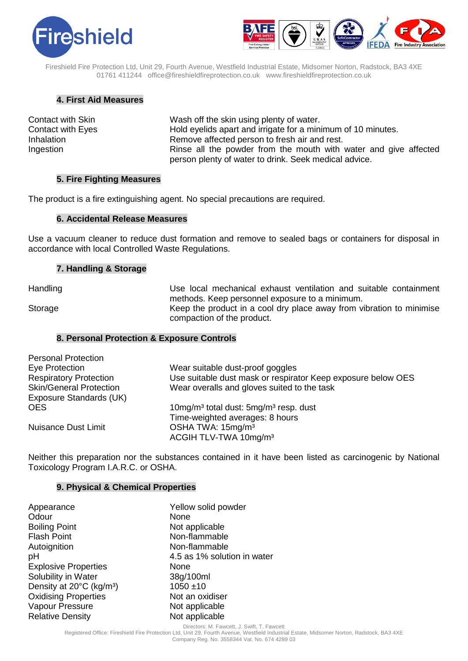



## **4. First Aid Measures**

| <b>Contact with Skin</b> |
|--------------------------|
| <b>Contact with Eyes</b> |
| Inhalation               |
| Ingestion                |

Wash off the skin using plenty of water. Hold eyelids apart and irrigate for a minimum of 10 minutes. Remove affected person to fresh air and rest. Rinse all the powder from the mouth with water and give affected person plenty of water to drink. Seek medical advice.

## **5. Fire Fighting Measures**

The product is a fire extinguishing agent. No special precautions are required.

## **6. Accidental Release Measures**

Use a vacuum cleaner to reduce dust formation and remove to sealed bags or containers for disposal in accordance with local Controlled Waste Regulations.

## **7. Handling & Storage**

Handling Thandling Use local mechanical exhaust ventilation and suitable containment methods. Keep personnel exposure to a minimum. Storage Keep the product in a cool dry place away from vibration to minimise compaction of the product.

#### **8. Personal Protection & Exposure Controls**

| <b>Personal Protection</b>     |                                                               |
|--------------------------------|---------------------------------------------------------------|
| Eye Protection                 | Wear suitable dust-proof goggles                              |
| <b>Respiratory Protection</b>  | Use suitable dust mask or respirator Keep exposure below OES  |
| <b>Skin/General Protection</b> | Wear overalls and gloves suited to the task                   |
| Exposure Standards (UK)        |                                                               |
| <b>OES</b>                     | 10mg/m <sup>3</sup> total dust: 5mg/m <sup>3</sup> resp. dust |
|                                | Time-weighted averages: 8 hours                               |
| <b>Nuisance Dust Limit</b>     | OSHA TWA: 15mg/m <sup>3</sup>                                 |
|                                | ACGIH TLV-TWA 10mg/m <sup>3</sup>                             |

Neither this preparation nor the substances contained in it have been listed as carcinogenic by National Toxicology Program I.A.R.C. or OSHA.

### **9. Physical & Chemical Properties**

| Appearance                           | Yellow solid powder         |
|--------------------------------------|-----------------------------|
| Odour                                | None                        |
| <b>Boiling Point</b>                 | Not applicable              |
| <b>Flash Point</b>                   | Non-flammable               |
| Autoignition                         | Non-flammable               |
| рH                                   | 4.5 as 1% solution in water |
| <b>Explosive Properties</b>          | None                        |
| Solubility in Water                  | 38g/100ml                   |
| Density at 20°C (kg/m <sup>3</sup> ) | $1050 + 10$                 |
| <b>Oxidising Properties</b>          | Not an oxidiser             |
| Vapour Pressure                      | Not applicable              |
| <b>Relative Density</b>              | Not applicable              |

Directors: M. Fawcett, J. Swift, T. Fawcett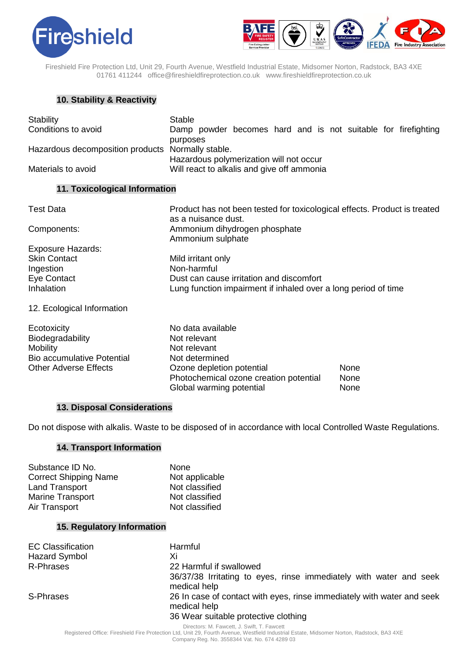



# **10. Stability & Reactivity**

| Stability                                                                                                               | <b>Stable</b>                                                                                                                              |              |
|-------------------------------------------------------------------------------------------------------------------------|--------------------------------------------------------------------------------------------------------------------------------------------|--------------|
| Conditions to avoid                                                                                                     | Damp powder becomes hard and is not suitable for firefighting                                                                              |              |
| Hazardous decomposition products                                                                                        | purposes<br>Normally stable.<br>Hazardous polymerization will not occur                                                                    |              |
| Materials to avoid                                                                                                      | Will react to alkalis and give off ammonia                                                                                                 |              |
| 11. Toxicological Information                                                                                           |                                                                                                                                            |              |
| <b>Test Data</b>                                                                                                        | Product has not been tested for toxicological effects. Product is treated<br>as a nuisance dust.                                           |              |
| Components:                                                                                                             | Ammonium dihydrogen phosphate<br>Ammonium sulphate                                                                                         |              |
| <b>Exposure Hazards:</b>                                                                                                |                                                                                                                                            |              |
| <b>Skin Contact</b>                                                                                                     | Mild irritant only                                                                                                                         |              |
| Ingestion                                                                                                               | Non-harmful                                                                                                                                |              |
| Eye Contact                                                                                                             | Dust can cause irritation and discomfort                                                                                                   |              |
| Inhalation                                                                                                              | Lung function impairment if inhaled over a long period of time                                                                             |              |
| 12. Ecological Information                                                                                              |                                                                                                                                            |              |
| Ecotoxicity<br>Biodegradability<br><b>Mobility</b><br><b>Bio accumulative Potential</b><br><b>Other Adverse Effects</b> | No data available<br>Not relevant<br>Not relevant<br>Not determined<br>Ozone depletion potential<br>Photochemical ozone creation potential | None<br>None |
|                                                                                                                         | Global warming potential                                                                                                                   | None         |

## **13. Disposal Considerations**

Do not dispose with alkalis. Waste to be disposed of in accordance with local Controlled Waste Regulations.

## **14. Transport Information**

| None           |
|----------------|
| Not applicable |
| Not classified |
| Not classified |
| Not classified |
|                |

## **15. Regulatory Information**

| <b>EC Classification</b> | Harmful                                                                                                                        |
|--------------------------|--------------------------------------------------------------------------------------------------------------------------------|
| Hazard Symbol            | Xi                                                                                                                             |
| R-Phrases                | 22 Harmful if swallowed                                                                                                        |
|                          | 36/37/38 Irritating to eyes, rinse immediately with water and seek<br>medical help                                             |
| S-Phrases                | 26 In case of contact with eyes, rinse immediately with water and seek<br>medical help<br>36 Wear suitable protective clothing |